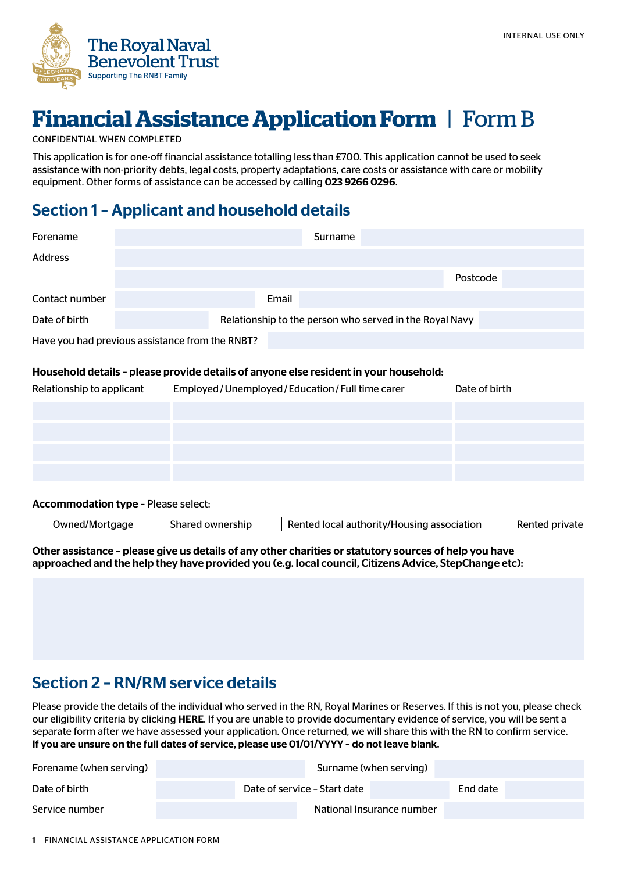

# **Financial Assistance Application Form** | Form B

#### CONFIDENTIAL WHEN COMPLETED

This application is for one-off financial assistance totalling less than £700. This application cannot be used to seek assistance with non-priority debts, legal costs, property adaptations, care costs or assistance with care or mobility equipment. Other forms of assistance can be accessed by calling 023 9266 0296.

### Section 1 – Applicant and household details

| Forename                                                                                                                                                                                                        |                                                                                                                                        | Surname                                                 |               |
|-----------------------------------------------------------------------------------------------------------------------------------------------------------------------------------------------------------------|----------------------------------------------------------------------------------------------------------------------------------------|---------------------------------------------------------|---------------|
| <b>Address</b>                                                                                                                                                                                                  |                                                                                                                                        |                                                         |               |
|                                                                                                                                                                                                                 |                                                                                                                                        |                                                         | Postcode      |
| Contact number                                                                                                                                                                                                  | Email                                                                                                                                  |                                                         |               |
| Date of birth                                                                                                                                                                                                   |                                                                                                                                        | Relationship to the person who served in the Royal Navy |               |
|                                                                                                                                                                                                                 | Have you had previous assistance from the RNBT?                                                                                        |                                                         |               |
| Relationship to applicant                                                                                                                                                                                       | Household details - please provide details of anyone else resident in your household:<br>Employed/Unemployed/Education/Full time carer |                                                         | Date of birth |
|                                                                                                                                                                                                                 |                                                                                                                                        |                                                         |               |
|                                                                                                                                                                                                                 |                                                                                                                                        |                                                         |               |
|                                                                                                                                                                                                                 |                                                                                                                                        |                                                         |               |
|                                                                                                                                                                                                                 |                                                                                                                                        |                                                         |               |
| <b>Accommodation type - Please select:</b>                                                                                                                                                                      |                                                                                                                                        |                                                         |               |
| Shared ownership<br>Owned/Mortgage<br>Rented local authority/Housing association<br>Rented private                                                                                                              |                                                                                                                                        |                                                         |               |
| Other assistance - please give us details of any other charities or statutory sources of help you have<br>approached and the help they have provided you (e.g. local council, Citizens Advice, StepChange etc): |                                                                                                                                        |                                                         |               |

### Section 2 – RN/RM service details

Please provide the details of the individual who served in the RN, Royal Marines or Reserves. If this is not you, please check our eligibility criteria by clicking [HERE](http://www.rnbt.org.uk/about-us/who-we-help/). If you are unable to provide documentary evidence of service, you will be sent a separate form after we have assessed your application. Once returned, we will share this with the RN to confirm service. If you are unsure on the full dates of service, please use 01/01/YYYY – do not leave blank.

| Forename (when serving) |                              | Surname (when serving) |  |  |
|-------------------------|------------------------------|------------------------|--|--|
| Date of birth           | Date of service - Start date | End date               |  |  |
| Service number          | National Insurance number    |                        |  |  |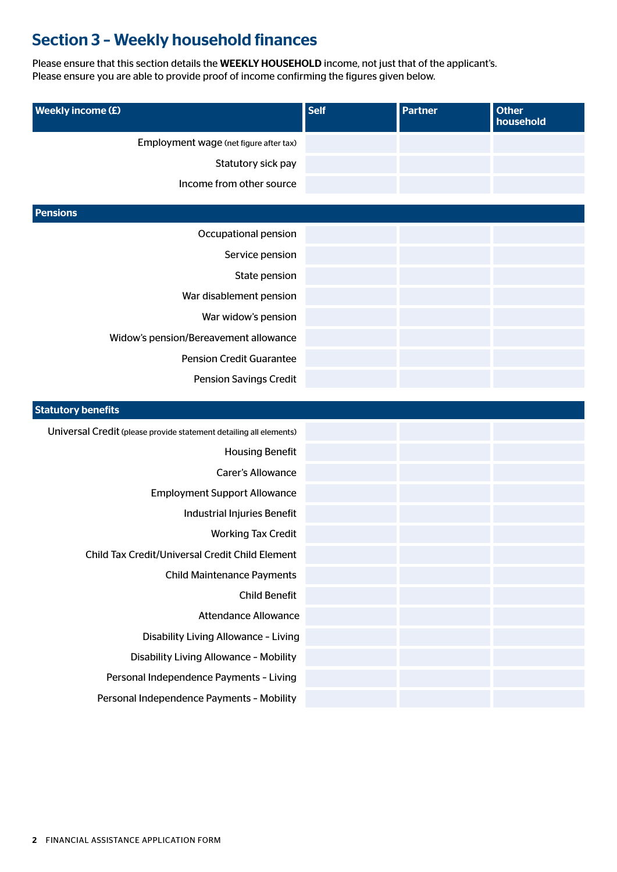# Section 3 – Weekly household finances

Please ensure that this section details the WEEKLY HOUSEHOLD income, not just that of the applicant's. Please ensure you are able to provide proof of income confirming the figures given below.

| <b>Weekly income (£)</b>                                                 | <b>Self</b> | <b>Partner</b> | <b>Other</b><br>household |
|--------------------------------------------------------------------------|-------------|----------------|---------------------------|
| Employment wage (net figure after tax)                                   |             |                |                           |
| Statutory sick pay                                                       |             |                |                           |
| Income from other source                                                 |             |                |                           |
| <b>Pensions</b>                                                          |             |                |                           |
| Occupational pension                                                     |             |                |                           |
| Service pension                                                          |             |                |                           |
| State pension                                                            |             |                |                           |
| War disablement pension                                                  |             |                |                           |
|                                                                          |             |                |                           |
| War widow's pension                                                      |             |                |                           |
| Widow's pension/Bereavement allowance<br><b>Pension Credit Guarantee</b> |             |                |                           |
|                                                                          |             |                |                           |
| <b>Pension Savings Credit</b>                                            |             |                |                           |
| <b>Statutory benefits</b>                                                |             |                |                           |
| Universal Credit (please provide statement detailing all elements)       |             |                |                           |
| <b>Housing Benefit</b>                                                   |             |                |                           |
| Carer's Allowance                                                        |             |                |                           |
| <b>Employment Support Allowance</b>                                      |             |                |                           |
| Industrial Injuries Benefit                                              |             |                |                           |
| <b>Working Tax Credit</b>                                                |             |                |                           |
| Child Tax Credit/Universal Credit Child Element                          |             |                |                           |
| <b>Child Maintenance Payments</b>                                        |             |                |                           |
| <b>Child Benefit</b>                                                     |             |                |                           |
| <b>Attendance Allowance</b>                                              |             |                |                           |
| Disability Living Allowance - Living                                     |             |                |                           |
| Disability Living Allowance - Mobility                                   |             |                |                           |
| Personal Independence Payments - Living                                  |             |                |                           |
| Personal Independence Payments - Mobility                                |             |                |                           |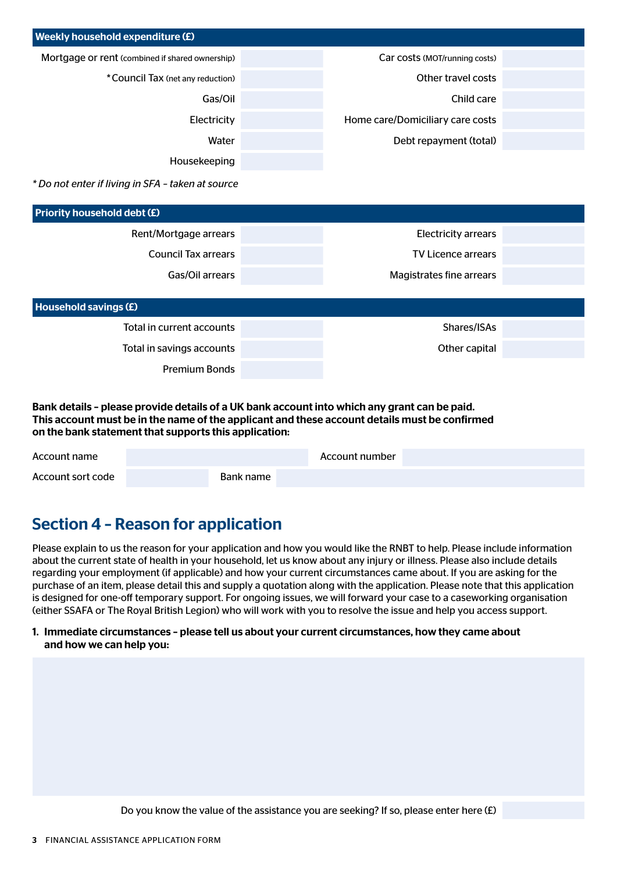| Weekly household expenditure (£)                  |                                  |  |
|---------------------------------------------------|----------------------------------|--|
| Mortgage or rent (combined if shared ownership)   | Car costs (MOT/running costs)    |  |
| * Council Tax (net any reduction)                 | Other travel costs               |  |
| Gas/Oil                                           | Child care                       |  |
| Electricity                                       | Home care/Domiciliary care costs |  |
| Water                                             | Debt repayment (total)           |  |
| Housekeeping                                      |                                  |  |
| * Do not enter if living in SFA - taken at source |                                  |  |
| Priority household debt (£)                       |                                  |  |
| Rent/Mortgage arrears                             | <b>Electricity arrears</b>       |  |
| <b>Council Tax arrears</b>                        | <b>TV Licence arrears</b>        |  |
| Gas/Oil arrears                                   | Magistrates fine arrears         |  |
|                                                   |                                  |  |
| Household savings (£)                             |                                  |  |
| Total in current accounts                         | Shares/ISAs                      |  |
| Total in savings accounts                         | Other capital                    |  |
| <b>Premium Bonds</b>                              |                                  |  |

Bank details – please provide details of a UK bank account into which any grant can be paid. This account must be in the name of the applicant and these account details must be confirmed on the bank statement that supports this application:

| Account name      |           | Account number |  |
|-------------------|-----------|----------------|--|
| Account sort code | Bank name |                |  |

### Section 4 – Reason for application

Please explain to us the reason for your application and how you would like the RNBT to help. Please include information about the current state of health in your household, let us know about any injury or illness. Please also include details regarding your employment (if applicable) and how your current circumstances came about. If you are asking for the purchase of an item, please detail this and supply a quotation along with the application. Please note that this application is designed for one-off temporary support. For ongoing issues, we will forward your case to a caseworking organisation (either SSAFA or The Royal British Legion) who will work with you to resolve the issue and help you access support.

#### 1. Immediate circumstances – please tell us about your current circumstances, how they came about and how we can help you:

Do you know the value of the assistance you are seeking? If so, please enter here  $(E)$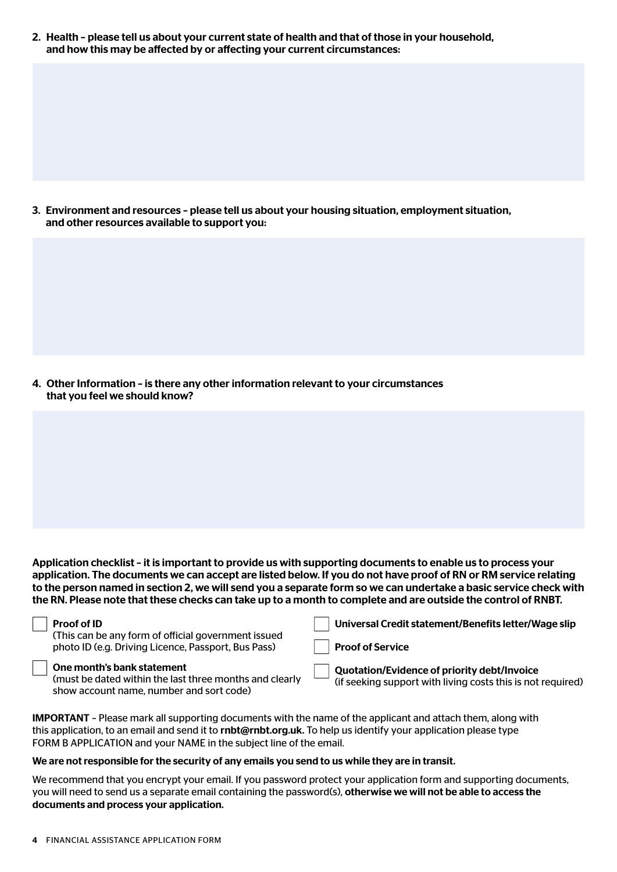2. Health – please tell us about your current state of health and that of those in your household, and how this may be affected by or affecting your current circumstances:

3. Environment and resources – please tell us about your housing situation, employment situation, and other resources available to support you:

4. Other Information – is there any other information relevant to your circumstances that you feel we should know?

Application checklist – it is important to provide us with supporting documents to enable us to process your application. The documents we can accept are listed below. If you do not have proof of RN or RM service relating to the person named in section 2, we will send you a separate form so we can undertake a basic service check with the RN. Please note that these checks can take up to a month to complete and are outside the control of RNBT.

| <b>Proof of ID</b> |  |
|--------------------|--|
|--------------------|--|

(This can be any form of official government issued photo ID (e.g. Driving Licence, Passport, Bus Pass)

Universal Credit statement/Benefits letter/Wage slip Proof of Service Quotation/Evidence of priority debt/Invoice (if seeking support with living costs this is not required)

One month's bank statement

(must be dated within the last three months and clearly show account name, number and sort code)

IMPORTANT – Please mark all supporting documents with the name of the applicant and attach them, along with this application, to an email and send it to rnbt@rnbt.org.uk. To help us identify your application please type FORM B APPLICATION and your NAME in the subject line of the email.

#### We are not responsible for the security of any emails you send to us while they are in transit.

We recommend that you encrypt your email. If you password protect your application form and supporting documents, you will need to send us a separate email containing the password(s), otherwise we will not be able to access the documents and process your application.